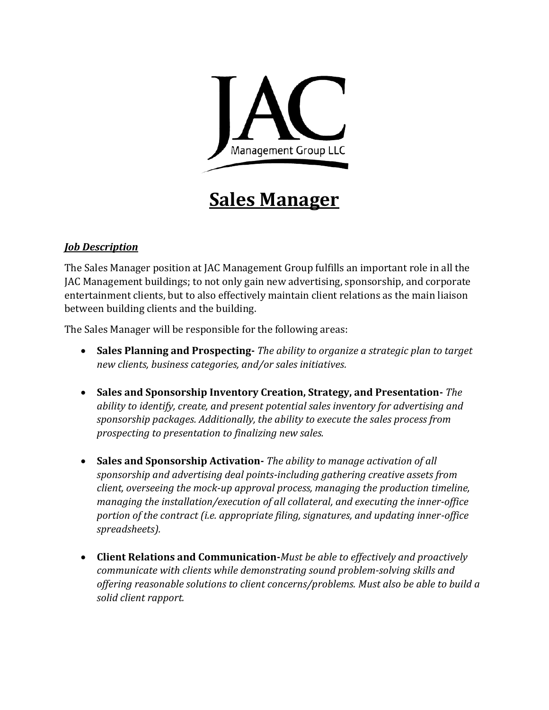

## **Sales Manager**

## *Job Description*

The Sales Manager position at JAC Management Group fulfills an important role in all the JAC Management buildings; to not only gain new advertising, sponsorship, and corporate entertainment clients, but to also effectively maintain client relations as the main liaison between building clients and the building.

The Sales Manager will be responsible for the following areas:

- **Sales Planning and Prospecting-** *The ability to organize a strategic plan to target new clients, business categories, and/or sales initiatives.*
- **Sales and Sponsorship Inventory Creation, Strategy, and Presentation-** *The ability to identify, create, and present potential sales inventory for advertising and sponsorship packages. Additionally, the ability to execute the sales process from prospecting to presentation to finalizing new sales.*
- **Sales and Sponsorship Activation-** *The ability to manage activation of all sponsorship and advertising deal points-including gathering creative assets from client, overseeing the mock-up approval process, managing the production timeline, managing the installation/execution of all collateral, and executing the inner-office portion of the contract (i.e. appropriate filing, signatures, and updating inner-office spreadsheets).*
- **Client Relations and Communication-***Must be able to effectively and proactively communicate with clients while demonstrating sound problem-solving skills and offering reasonable solutions to client concerns/problems. Must also be able to build a solid client rapport.*